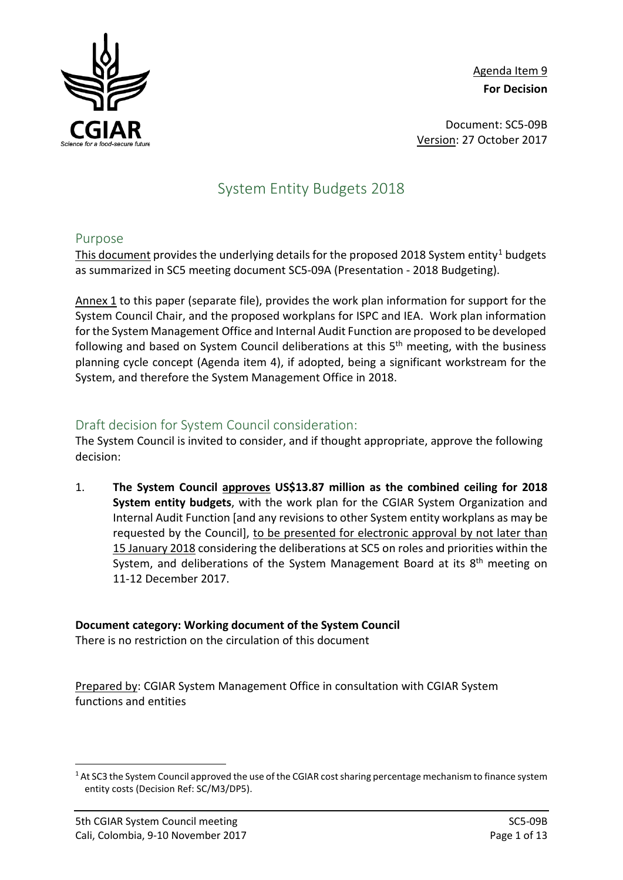

Agenda Item 9 **For Decision**

Document: SC5-09B Version: 27 October 2017

# System Entity Budgets 2018

#### Purpose

This document provides the underlying details for the proposed 20[1](#page-0-0)8 System entity<sup>1</sup> budgets as summarized in SC5 meeting document SC5-09A (Presentation - 2018 Budgeting).

Annex 1 to this paper (separate file), provides the work plan information for support for the System Council Chair, and the proposed workplans for ISPC and IEA. Work plan information for the System Management Office and Internal Audit Function are proposed to be developed following and based on System Council deliberations at this  $5<sup>th</sup>$  meeting, with the business planning cycle concept (Agenda item 4), if adopted, being a significant workstream for the System, and therefore the System Management Office in 2018.

## Draft decision for System Council consideration:

The System Council is invited to consider, and if thought appropriate, approve the following decision:

1. **The System Council approves US\$13.87 million as the combined ceiling for 2018 System entity budgets**, with the work plan for the CGIAR System Organization and Internal Audit Function [and any revisions to other System entity workplans as may be requested by the Council], to be presented for electronic approval by not later than 15 January 2018 considering the deliberations at SC5 on roles and priorities within the System, and deliberations of the System Management Board at its 8<sup>th</sup> meeting on 11-12 December 2017.

#### **Document category: Working document of the System Council**

There is no restriction on the circulation of this document

Prepared by: CGIAR System Management Office in consultation with CGIAR System functions and entities

<span id="page-0-0"></span><sup>&</sup>lt;sup>1</sup> At SC3 the System Council approved the use of the CGIAR cost sharing percentage mechanism to finance system entity costs (Decision Ref: SC/M3/DP5).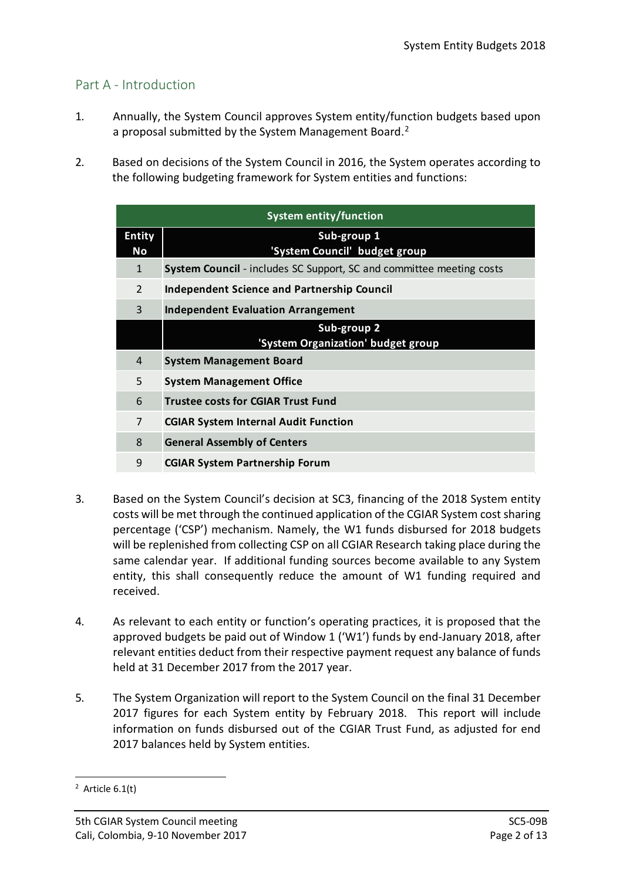## Part A - Introduction

- 1. Annually, the System Council approves System entity/function budgets based upon a proposal submitted by the System Management Board.<sup>[2](#page-1-0)</sup>
- 2. Based on decisions of the System Council in 2016, the System operates according to the following budgeting framework for System entities and functions:

| <b>System entity/function</b> |                                                                             |  |  |  |  |
|-------------------------------|-----------------------------------------------------------------------------|--|--|--|--|
| <b>Entity</b>                 | Sub-group 1                                                                 |  |  |  |  |
| No                            | 'System Council' budget group                                               |  |  |  |  |
| $\mathbf{1}$                  | <b>System Council</b> - includes SC Support, SC and committee meeting costs |  |  |  |  |
| 2                             | Independent Science and Partnership Council                                 |  |  |  |  |
| 3                             | <b>Independent Evaluation Arrangement</b>                                   |  |  |  |  |
|                               | Sub-group 2                                                                 |  |  |  |  |
|                               | 'System Organization' budget group                                          |  |  |  |  |
| 4                             | <b>System Management Board</b>                                              |  |  |  |  |
| 5                             | <b>System Management Office</b>                                             |  |  |  |  |
| 6                             | <b>Trustee costs for CGIAR Trust Fund</b>                                   |  |  |  |  |
| 7                             | <b>CGIAR System Internal Audit Function</b>                                 |  |  |  |  |
| 8                             | <b>General Assembly of Centers</b>                                          |  |  |  |  |
| 9                             | <b>CGIAR System Partnership Forum</b>                                       |  |  |  |  |

- 3. Based on the System Council's decision at SC3, financing of the 2018 System entity costs will be met through the continued application of the CGIAR System cost sharing percentage ('CSP') mechanism. Namely, the W1 funds disbursed for 2018 budgets will be replenished from collecting CSP on all CGIAR Research taking place during the same calendar year. If additional funding sources become available to any System entity, this shall consequently reduce the amount of W1 funding required and received.
- 4. As relevant to each entity or function's operating practices, it is proposed that the approved budgets be paid out of Window 1 ('W1') funds by end-January 2018, after relevant entities deduct from their respective payment request any balance of funds held at 31 December 2017 from the 2017 year.
- 5. The System Organization will report to the System Council on the final 31 December 2017 figures for each System entity by February 2018. This report will include information on funds disbursed out of the CGIAR Trust Fund, as adjusted for end 2017 balances held by System entities.

<span id="page-1-0"></span> $\frac{1}{2}$  $2$  Article 6.1(t)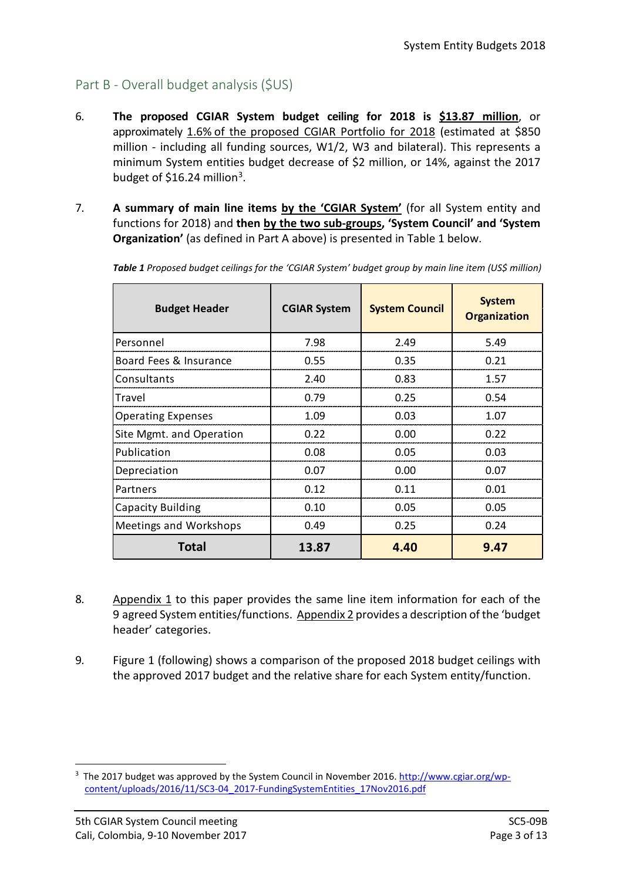# Part B - Overall budget analysis (\$US)

- 6. **The proposed CGIAR System budget ceiling for 2018 is \$13.87 million**, or approximately 1.6% of the proposed CGIAR Portfolio for 2018 (estimated at \$850 million - including all funding sources, W1/2, W3 and bilateral). This represents a minimum System entities budget decrease of \$2 million, or 14%, against the 2017 budget of \$16.24 million<sup>3</sup>.
- 7. **A summary of main line items by the 'CGIAR System'** (for all System entity and functions for 2018) and **then by the two sub-groups, 'System Council' and 'System Organization'** (as defined in Part A above) is presented in Table 1 below.

| <b>Budget Header</b>          | <b>System Council</b><br><b>CGIAR System</b> |      | <b>System</b><br><b>Organization</b> |  |
|-------------------------------|----------------------------------------------|------|--------------------------------------|--|
| Personnel                     | 7.98                                         | 2.49 | 5.49                                 |  |
| Board Fees & Insurance        | 0.55                                         | 0.35 | 0.21                                 |  |
| Consultants                   | 2.40                                         | 0.83 | 1.57                                 |  |
| <b>Travel</b>                 | 0.79                                         | 0.25 | 0.54                                 |  |
| <b>Operating Expenses</b>     | 1.09                                         | 0.03 | 1.07                                 |  |
| Site Mgmt. and Operation      | 0.22                                         | 0.00 | 0.22                                 |  |
| Publication                   | 0.08                                         | 0.05 | 0.03                                 |  |
| Depreciation                  | 0.07                                         | 0.00 | 0.07                                 |  |
| Partners                      | 0.12                                         | 0.11 | 0.01                                 |  |
| <b>Capacity Building</b>      | 0.10                                         | 0.05 | 0.05                                 |  |
| <b>Meetings and Workshops</b> | 0.49                                         | 0.25 | 0.24                                 |  |
| Total                         | 13.87                                        | 4.40 | 9.47                                 |  |

*Table 1 Proposed budget ceilings for the 'CGIAR System' budget group by main line item (US\$ million)*

- 8. Appendix 1 to this paper provides the same line item information for each of the 9 agreed System entities/functions. Appendix 2 provides a description of the 'budget header' categories.
- 9. Figure 1 (following) shows a comparison of the proposed 2018 budget ceilings with the approved 2017 budget and the relative share for each System entity/function.

<span id="page-2-0"></span><sup>-&</sup>lt;br>3 <sup>3</sup> The 2017 budget was approved by the System Council in November 2016. [http://www.cgiar.org/wp](http://www.cgiar.org/wp-content/uploads/2016/11/SC3-04_2017-FundingSystemEntities_17Nov2016.pdf)[content/uploads/2016/11/SC3-04\\_2017-FundingSystemEntities\\_17Nov2016.pdf](http://www.cgiar.org/wp-content/uploads/2016/11/SC3-04_2017-FundingSystemEntities_17Nov2016.pdf)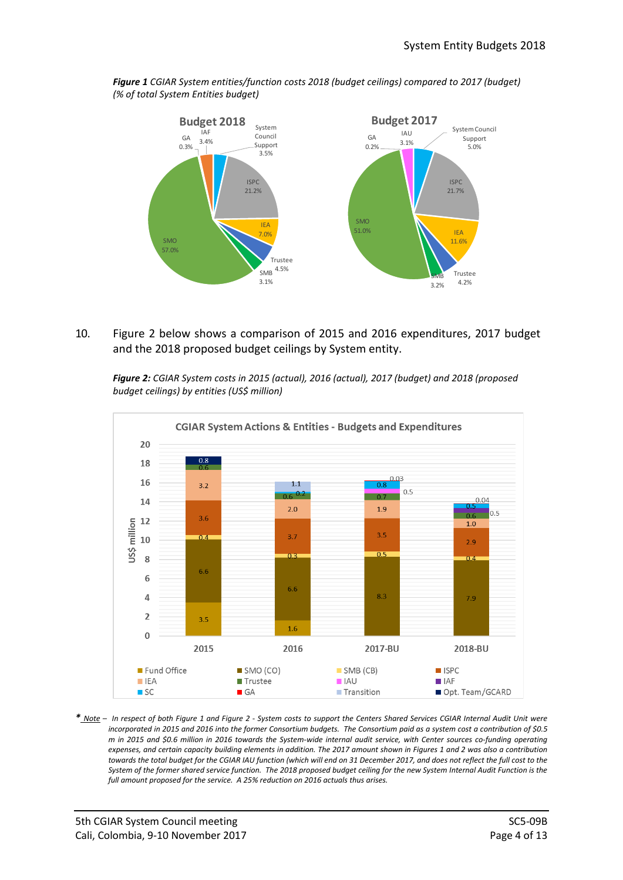

*Figure 1 CGIAR System entities/function costs 2018 (budget ceilings) compared to 2017 (budget) (% of total System Entities budget)*

10. Figure 2 below shows a comparison of 2015 and 2016 expenditures, 2017 budget and the 2018 proposed budget ceilings by System entity.

*Figure 2: CGIAR System costs in 2015 (actual), 2016 (actual), 2017 (budget) and 2018 (proposed budget ceilings) by entities (US\$ million)*



*\* Note – In respect of both Figure 1 and Figure 2 - System costs to support the Centers Shared Services CGIAR Internal Audit Unit were incorporated in 2015 and 2016 into the former Consortium budgets. The Consortium paid as a system cost a contribution of \$0.5 m in 2015 and \$0.6 million in 2016 towards the System-wide internal audit service, with Center sources co-funding operating expenses, and certain capacity building elements in addition. The 2017 amount shown in Figures 1 and 2 was also a contribution*  towards the total budget for the CGIAR IAU function *(which will end on 31 December 2017, and does not reflect the full cost to the System of the former shared service function. The 2018 proposed budget ceiling for the new System Internal Audit Function is the full amount proposed for the service. A 25% reduction on 2016 actuals thus arises.*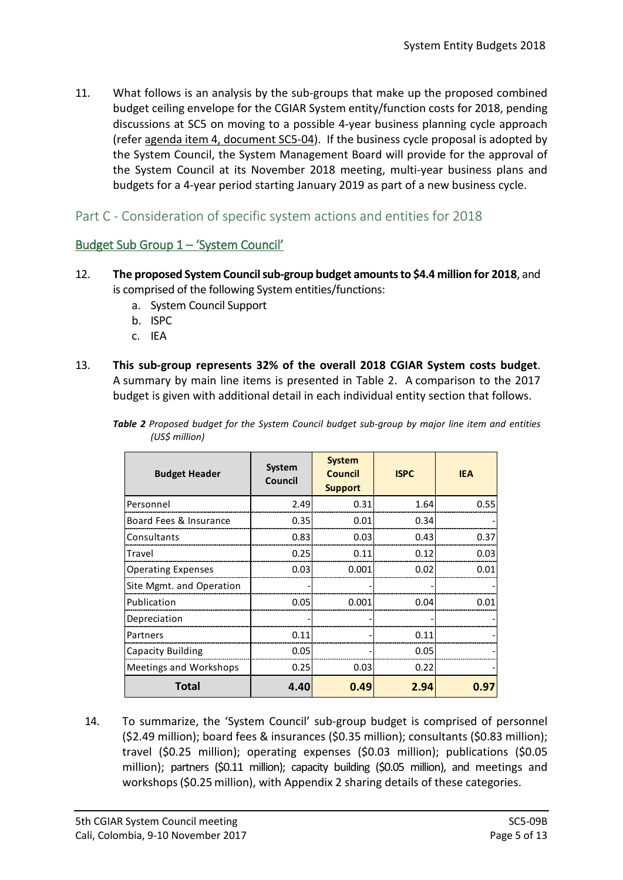11. What follows is an analysis by the sub-groups that make up the proposed combined budget ceiling envelope for the CGIAR System entity/function costs for 2018, pending discussions at SC5 on moving to a possible 4-year business planning cycle approach (refer agenda item 4, document SC5-04). If the business cycle proposal is adopted by the System Council, the System Management Board will provide for the approval of the System Council at its November 2018 meeting, multi-year business plans and budgets for a 4-year period starting January 2019 as part of a new business cycle.

## Part C - Consideration of specific system actions and entities for 2018

## Budget Sub Group 1 – 'System Council'

- 12. **The proposed System Council sub-group budget amounts to \$4.4 million for 2018**, and is comprised of the following System entities/functions:
	- a. System Council Support
	- b. ISPC
	- c. IEA
- 13. **This sub-group represents 32% of the overall 2018 CGIAR System costs budget**. A summary by main line items is presented in Table 2. A comparison to the 2017 budget is given with additional detail in each individual entity section that follows.

| <b>Budget Header</b>      | System<br>Council | <b>System</b><br><b>Council</b><br><b>Support</b> | <b>ISPC</b> | <b>IEA</b>  |  |
|---------------------------|-------------------|---------------------------------------------------|-------------|-------------|--|
| Personnel                 | 2.49              | 0.31                                              | 1.64        | 0.55        |  |
| Board Fees & Insurance    | 0.35              | 0.01                                              | 0.34        |             |  |
| Consultants               | 0.83              | 0.03                                              | 0.43        | 0.37        |  |
| Travel                    | 0.25              | 0.11                                              | 0.12        | 0.03        |  |
| <b>Operating Expenses</b> | 0.03              | 0.001                                             | 0.02        | 0.01        |  |
| Site Mgmt. and Operation  |                   |                                                   |             |             |  |
| Publication               | 0.05              | 0.001                                             | 0.04        | <u>በ በ1</u> |  |
| Depreciation              |                   |                                                   |             |             |  |
| Partners                  | 0.11              |                                                   | 0.11        |             |  |
| Capacity Building         | 0.05              |                                                   | 0.05        |             |  |
| Meetings and Workshops    | 0.25              | 0.03                                              | 0.22        |             |  |
| <b>Total</b>              | 4.40              | 0.49                                              | 2.94        | 0.97        |  |

*Table 2 Proposed budget for the System Council budget sub-group by major line item and entities (US\$ million)*

14. To summarize, the 'System Council' sub-group budget is comprised of personnel (\$2.49 million); board fees & insurances (\$0.35 million); consultants (\$0.83 million); travel (\$0.25 million); operating expenses (\$0.03 million); publications (\$0.05 million); partners (\$0.11 million); capacity building (\$0.05 million), and meetings and workshops(\$0.25 million), with Appendix 2 sharing details of these categories.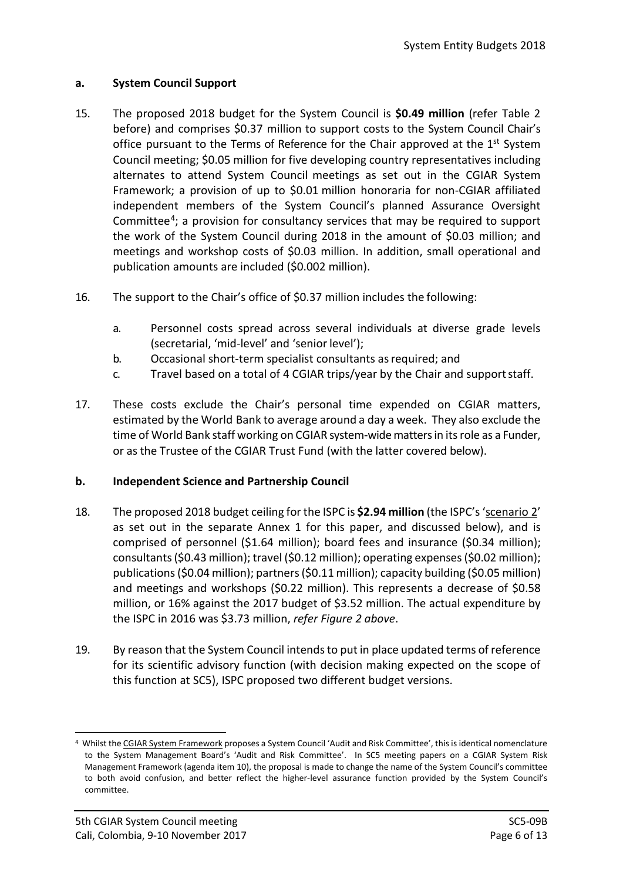### **a. System Council Support**

- 15. The proposed 2018 budget for the System Council is **\$0.49 million** (refer Table 2 before) and comprises \$0.37 million to support costs to the System Council Chair's office pursuant to the Terms of Reference for the Chair approved at the  $1<sup>st</sup>$  System Council meeting; \$0.05 million for five developing country representatives including alternates to attend System Council meetings as set out in the CGIAR System Framework; a provision of up to \$0.01 million honoraria for non-CGIAR affiliated independent members of the System Council's planned Assurance Oversight Committee[4](#page-5-0); a provision for consultancy services that may be required to support the work of the System Council during 2018 in the amount of \$0.03 million; and meetings and workshop costs of \$0.03 million. In addition, small operational and publication amounts are included (\$0.002 million).
- 16. The support to the Chair's office of \$0.37 million includes the following:
	- a. Personnel costs spread across several individuals at diverse grade levels (secretarial, 'mid-level' and 'senior level');
	- b. Occasional short-term specialist consultants as required; and
	- c. Travel based on a total of 4 CGIAR trips/year by the Chair and supportstaff.
- 17. These costs exclude the Chair's personal time expended on CGIAR matters, estimated by the World Bank to average around a day a week. They also exclude the time of World Bank staff working on CGIAR system-wide matters in itsrole as a Funder, or as the Trustee of the CGIAR Trust Fund (with the latter covered below).

#### **b. Independent Science and Partnership Council**

- 18. The proposed 2018 budget ceiling for the ISPC is **\$2.94 million** (the ISPC's 'scenario 2' as set out in the separate Annex 1 for this paper, and discussed below), and is comprised of personnel (\$1.64 million); board fees and insurance (\$0.34 million); consultants (\$0.43 million); travel (\$0.12 million); operating expenses (\$0.02 million); publications (\$0.04 million); partners (\$0.11 million); capacity building (\$0.05 million) and meetings and workshops (\$0.22 million). This represents a decrease of \$0.58 million, or 16% against the 2017 budget of \$3.52 million. The actual expenditure by the ISPC in 2016 was \$3.73 million, *refer Figure 2 above*.
- 19. By reason that the System Council intends to put in place updated terms of reference for its scientific advisory function (with decision making expected on the scope of this function at SC5), ISPC proposed two different budget versions.

<span id="page-5-0"></span> <sup>4</sup> Whilst the CGIAR System Framework proposes a System Council 'Audit and Risk Committee', this is identical nomenclature to the System Management Board's 'Audit and Risk Committee'. In SC5 meeting papers on a CGIAR System Risk Management Framework (agenda item 10), the proposal is made to change the name of the System Council's committee to both avoid confusion, and better reflect the higher-level assurance function provided by the System Council's committee.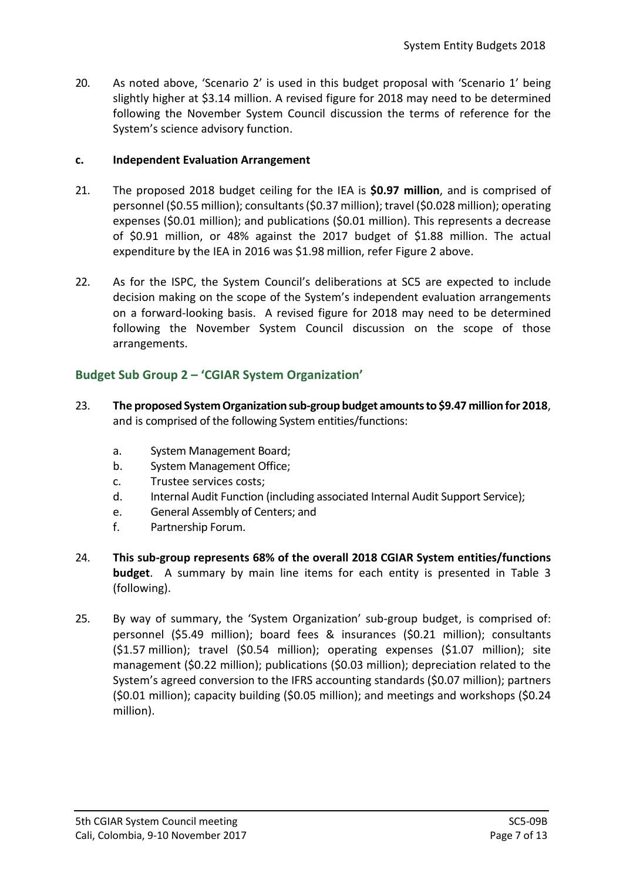20. As noted above, 'Scenario 2' is used in this budget proposal with 'Scenario 1' being slightly higher at \$3.14 million. A revised figure for 2018 may need to be determined following the November System Council discussion the terms of reference for the System's science advisory function.

### **c. Independent Evaluation Arrangement**

- 21. The proposed 2018 budget ceiling for the IEA is **\$0.97 million**, and is comprised of personnel (\$0.55 million); consultants (\$0.37 million); travel (\$0.028 million); operating expenses (\$0.01 million); and publications (\$0.01 million). This represents a decrease of \$0.91 million, or 48% against the 2017 budget of \$1.88 million. The actual expenditure by the IEA in 2016 was \$1.98 million, refer Figure 2 above.
- 22. As for the ISPC, the System Council's deliberations at SC5 are expected to include decision making on the scope of the System's independent evaluation arrangements on a forward-looking basis. A revised figure for 2018 may need to be determined following the November System Council discussion on the scope of those arrangements.

## **Budget Sub Group 2 – 'CGIAR System Organization'**

- 23. **The proposed System Organization sub-group budget amounts to \$9.47 million for 2018**, and is comprised of the following System entities/functions:
	- a. System Management Board;
	- b. System Management Office;
	- c. Trustee services costs;
	- d. Internal Audit Function (including associated Internal Audit Support Service);
	- e. General Assembly of Centers; and
	- f. Partnership Forum.
- 24. **This sub-group represents 68% of the overall 2018 CGIAR System entities/functions budget**. A summary by main line items for each entity is presented in Table 3 (following).
- 25. By way of summary, the 'System Organization' sub-group budget, is comprised of: personnel (\$5.49 million); board fees & insurances (\$0.21 million); consultants (\$1.57 million); travel (\$0.54 million); operating expenses (\$1.07 million); site management (\$0.22 million); publications (\$0.03 million); depreciation related to the System's agreed conversion to the IFRS accounting standards (\$0.07 million); partners (\$0.01 million); capacity building (\$0.05 million); and meetings and workshops (\$0.24 million).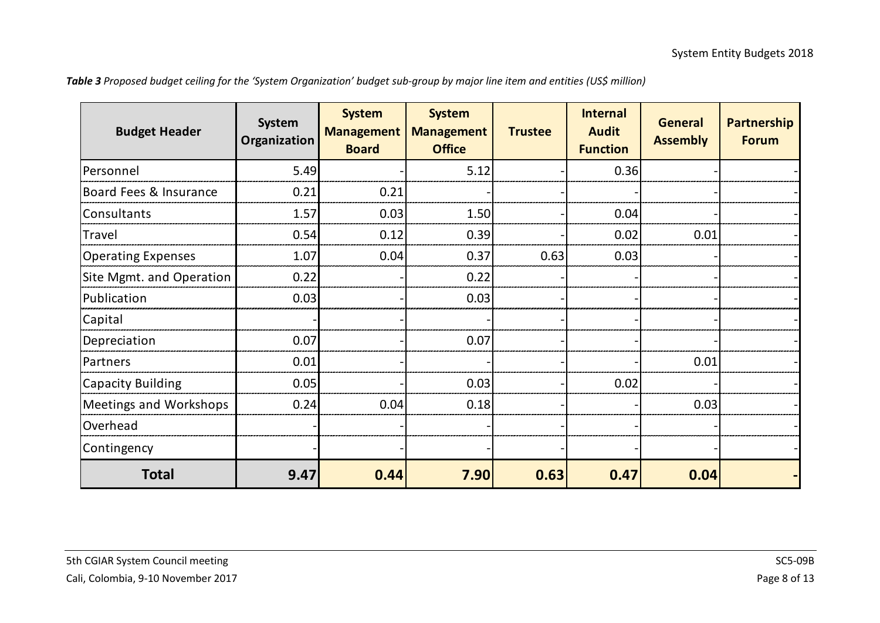| Table 3 Proposed budget ceiling for the 'System Organization' budget sub-group by major line item and entities (US\$ million) |  |  |  |
|-------------------------------------------------------------------------------------------------------------------------------|--|--|--|
|-------------------------------------------------------------------------------------------------------------------------------|--|--|--|

| <b>Budget Header</b>      | System<br><b>Organization</b> | <b>System</b><br><b>Management</b><br><b>Board</b> | <b>System</b><br><b>Management</b><br><b>Office</b> | <b>Trustee</b> | <b>Internal</b><br><b>Audit</b><br><b>Function</b> | <b>General</b><br><b>Assembly</b> | <b>Partnership</b><br><b>Forum</b> |
|---------------------------|-------------------------------|----------------------------------------------------|-----------------------------------------------------|----------------|----------------------------------------------------|-----------------------------------|------------------------------------|
| Personnel                 | 5.49                          |                                                    | 5.12                                                |                | 0.36                                               |                                   |                                    |
| Board Fees & Insurance    | 0.21                          | 0.21                                               |                                                     |                |                                                    |                                   |                                    |
| Consultants               | 1.57                          | 0.03                                               | 1.50                                                |                | 0.04                                               |                                   |                                    |
| Travel                    | 0.54                          | 0.12                                               | 0.39                                                |                | 0.02                                               | 0.01                              |                                    |
| <b>Operating Expenses</b> | 1.07                          | 0.04                                               | 0.37                                                | 0.63           | 0.03                                               |                                   |                                    |
| Site Mgmt. and Operation  | 0.22                          |                                                    | 0.22                                                |                |                                                    |                                   |                                    |
| Publication               | 0.03                          |                                                    | 0.03                                                |                |                                                    |                                   |                                    |
| Capital                   |                               |                                                    |                                                     |                |                                                    |                                   |                                    |
| Depreciation              | 0.07                          |                                                    | 0.07                                                |                |                                                    |                                   |                                    |
| Partners                  | 0.01                          |                                                    |                                                     |                |                                                    | 0.01                              |                                    |
| <b>Capacity Building</b>  | 0.05                          |                                                    | 0.03                                                |                | 0.02                                               |                                   |                                    |
| Meetings and Workshops    | 0.24                          | 0.04                                               | 0.18                                                |                |                                                    | 0.03                              |                                    |
| Overhead                  |                               |                                                    |                                                     |                |                                                    |                                   |                                    |
| Contingency               |                               |                                                    |                                                     |                |                                                    |                                   |                                    |
| <b>Total</b>              | 9.47                          | 0.44                                               | 7.90                                                | 0.63           | 0.47                                               | 0.04                              |                                    |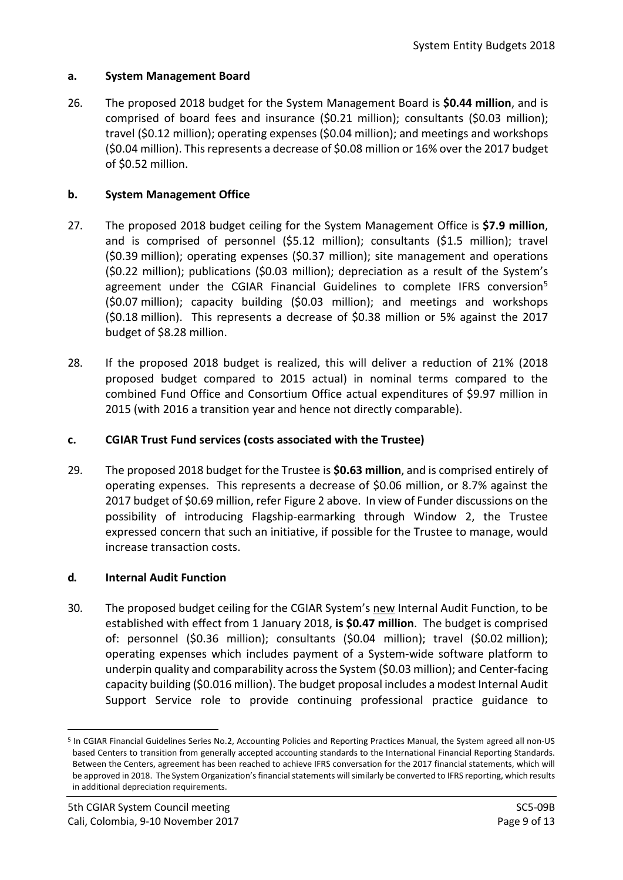#### **a. System Management Board**

26. The proposed 2018 budget for the System Management Board is **\$0.44 million**, and is comprised of board fees and insurance (\$0.21 million); consultants (\$0.03 million); travel (\$0.12 million); operating expenses (\$0.04 million); and meetings and workshops (\$0.04 million). This represents a decrease of \$0.08 million or 16% over the 2017 budget of \$0.52 million.

## **b. System Management Office**

- 27. The proposed 2018 budget ceiling for the System Management Office is **\$7.9 million**, and is comprised of personnel (\$5.12 million); consultants (\$1.5 million); travel (\$0.39 million); operating expenses (\$0.37 million); site management and operations (\$0.22 million); publications (\$0.03 million); depreciation as a result of the System's agreement under the CGIAR Financial Guidelines to complete IFRS conversion<sup>[5](#page-8-0)</sup> (\$0.07 million); capacity building (\$0.03 million); and meetings and workshops (\$0.18 million). This represents a decrease of \$0.38 million or 5% against the 2017 budget of \$8.28 million.
- 28. If the proposed 2018 budget is realized, this will deliver a reduction of 21% (2018 proposed budget compared to 2015 actual) in nominal terms compared to the combined Fund Office and Consortium Office actual expenditures of \$9.97 million in 2015 (with 2016 a transition year and hence not directly comparable).

### **c. CGIAR Trust Fund services (costs associated with the Trustee)**

29. The proposed 2018 budget for the Trustee is **\$0.63 million**, and is comprised entirely of operating expenses. This represents a decrease of \$0.06 million, or 8.7% against the 2017 budget of \$0.69 million, refer Figure 2 above. In view of Funder discussions on the possibility of introducing Flagship-earmarking through Window 2, the Trustee expressed concern that such an initiative, if possible for the Trustee to manage, would increase transaction costs.

#### **d. Internal Audit Function**

30. The proposed budget ceiling for the CGIAR System's new Internal Audit Function, to be established with effect from 1 January 2018, **is \$0.47 million**. The budget is comprised of: personnel (\$0.36 million); consultants (\$0.04 million); travel (\$0.02 million); operating expenses which includes payment of a System-wide software platform to underpin quality and comparability across the System (\$0.03 million); and Center-facing capacity building (\$0.016 million). The budget proposal includes a modest Internal Audit Support Service role to provide continuing professional practice guidance to

<span id="page-8-0"></span> <sup>5</sup> In CGIAR Financial Guidelines Series No.2, Accounting Policies and Reporting Practices Manual, the System agreed all non-US based Centers to transition from generally accepted accounting standards to the International Financial Reporting Standards. Between the Centers, agreement has been reached to achieve IFRS conversation for the 2017 financial statements, which will be approved in 2018. The System Organization's financial statements will similarly be converted to IFRS reporting, which results in additional depreciation requirements.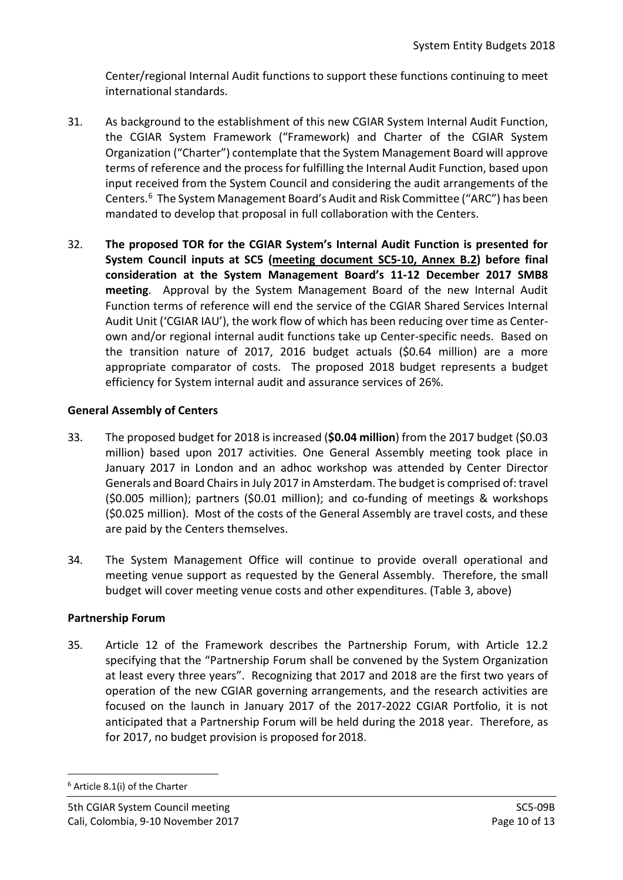Center/regional Internal Audit functions to support these functions continuing to meet international standards.

- 31. As background to the establishment of this new CGIAR System Internal Audit Function, the CGIAR System Framework ("Framework) and Charter of the CGIAR System Organization ("Charter") contemplate that the System Management Board will approve terms of reference and the process for fulfilling the Internal Audit Function, based upon input received from the System Council and considering the audit arrangements of the Centers. [6](#page-9-0) The System Management Board's Audit and Risk Committee ("ARC") has been mandated to develop that proposal in full collaboration with the Centers.
- 32. **The proposed TOR for the CGIAR System's Internal Audit Function is presented for System Council inputs at SC5 (meeting document SC5-10, Annex B.2) before final consideration at the System Management Board's 11-12 December 2017 SMB8 meeting**. Approval by the System Management Board of the new Internal Audit Function terms of reference will end the service of the CGIAR Shared Services Internal Audit Unit ('CGIAR IAU'), the work flow of which has been reducing over time as Centerown and/or regional internal audit functions take up Center-specific needs. Based on the transition nature of 2017, 2016 budget actuals (\$0.64 million) are a more appropriate comparator of costs. The proposed 2018 budget represents a budget efficiency for System internal audit and assurance services of 26%.

## **General Assembly of Centers**

- 33. The proposed budget for 2018 is increased (**\$0.04 million**) from the 2017 budget (\$0.03 million) based upon 2017 activities. One General Assembly meeting took place in January 2017 in London and an adhoc workshop was attended by Center Director Generals and Board Chairs in July 2017 in Amsterdam. The budget is comprised of: travel (\$0.005 million); partners (\$0.01 million); and co-funding of meetings & workshops (\$0.025 million). Most of the costs of the General Assembly are travel costs, and these are paid by the Centers themselves.
- 34. The System Management Office will continue to provide overall operational and meeting venue support as requested by the General Assembly. Therefore, the small budget will cover meeting venue costs and other expenditures. (Table 3, above)

## **Partnership Forum**

35. Article 12 of the Framework describes the Partnership Forum, with Article 12.2 specifying that the "Partnership Forum shall be convened by the System Organization at least every three years". Recognizing that 2017 and 2018 are the first two years of operation of the new CGIAR governing arrangements, and the research activities are focused on the launch in January 2017 of the 2017-2022 CGIAR Portfolio, it is not anticipated that a Partnership Forum will be held during the 2018 year. Therefore, as for 2017, no budget provision is proposed for 2018.

<span id="page-9-0"></span> <sup>6</sup> Article 8.1(i) of the Charter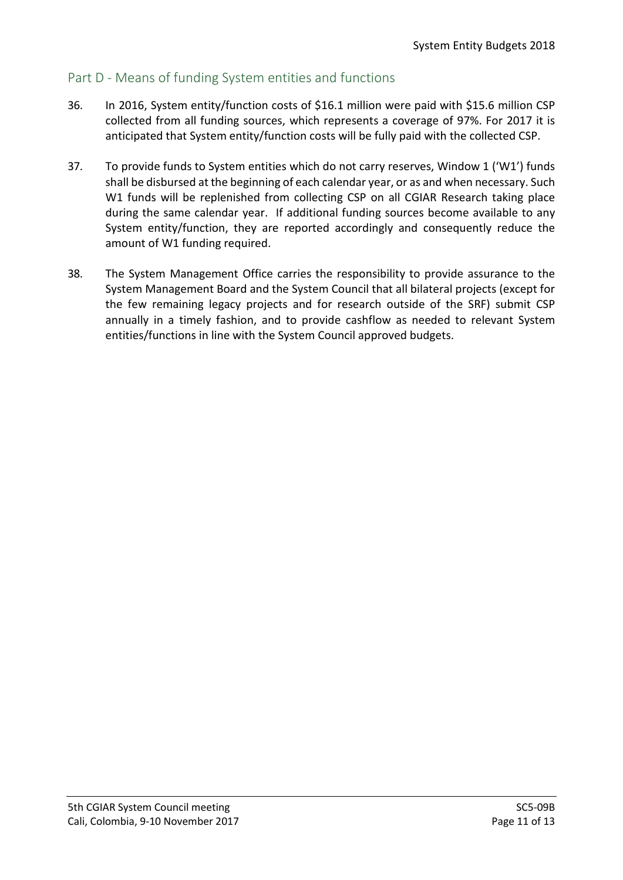## Part D - Means of funding System entities and functions

- 36. In 2016, System entity/function costs of \$16.1 million were paid with \$15.6 million CSP collected from all funding sources, which represents a coverage of 97%. For 2017 it is anticipated that System entity/function costs will be fully paid with the collected CSP.
- 37. To provide funds to System entities which do not carry reserves, Window 1 ('W1') funds shall be disbursed at the beginning of each calendar year, or as and when necessary. Such W1 funds will be replenished from collecting CSP on all CGIAR Research taking place during the same calendar year. If additional funding sources become available to any System entity/function, they are reported accordingly and consequently reduce the amount of W1 funding required.
- 38. The System Management Office carries the responsibility to provide assurance to the System Management Board and the System Council that all bilateral projects (except for the few remaining legacy projects and for research outside of the SRF) submit CSP annually in a timely fashion, and to provide cashflow as needed to relevant System entities/functions in line with the System Council approved budgets.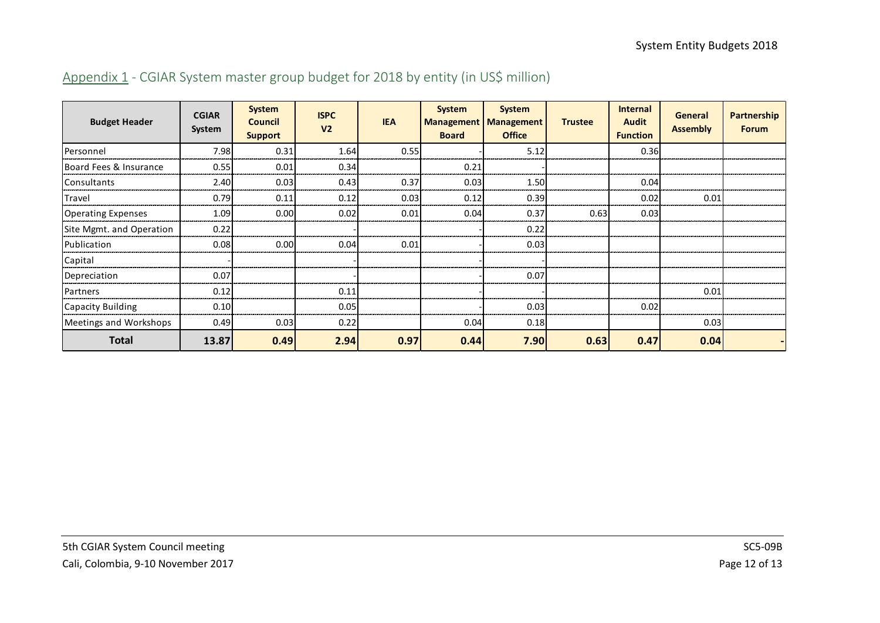| <b>Budget Header</b>      | <b>CGIAR</b><br>System | <b>System</b><br><b>Council</b><br><b>Support</b> | <b>ISPC</b><br>V <sub>2</sub> | <b>IEA</b> | <b>System</b><br><b>Board</b> | <b>System</b><br><b>Management   Management</b><br><b>Office</b> | <b>Trustee</b> | <b>Internal</b><br><b>Audit</b><br><b>Function</b> | General<br><b>Assembly</b> | <b>Partnership</b><br><b>Forum</b> |
|---------------------------|------------------------|---------------------------------------------------|-------------------------------|------------|-------------------------------|------------------------------------------------------------------|----------------|----------------------------------------------------|----------------------------|------------------------------------|
| Personnel                 | 7.98                   | 0.31                                              | 1.64                          | 0.55       |                               | 5.12                                                             |                | 0.36                                               |                            |                                    |
| Board Fees & Insurance    | 0.55                   | 0.01                                              | 0.34                          |            | 0.21                          |                                                                  |                |                                                    |                            |                                    |
| <b>Consultants</b>        | 2.40                   | 0.03                                              | 0.43                          | 0.37       | 0.03                          | 1.50                                                             |                | 0.04                                               |                            |                                    |
| Travel                    | 0.79                   | 0.11                                              | 0.12                          | 0.03       | 0.12                          | 0.39                                                             |                | 0.02                                               | 0.01                       |                                    |
| <b>Operating Expenses</b> | 1.09                   | 0.00                                              | 0.02                          | 0.01       | 0.04                          | 0.37                                                             | 0.63           | 0.03                                               |                            |                                    |
| Site Mgmt. and Operation  | 0.22                   |                                                   |                               |            |                               | 0.22                                                             |                |                                                    |                            |                                    |
| Publication               | 0.08                   | 0.00                                              | 0.04                          | 0.01       |                               | 0.03                                                             |                |                                                    |                            |                                    |
| Capital                   |                        |                                                   |                               |            |                               |                                                                  |                |                                                    |                            |                                    |
| Depreciation              | 0.07                   |                                                   |                               |            |                               | 0.07                                                             |                |                                                    |                            |                                    |
| Partners                  | 0.12                   |                                                   | 0.11                          |            |                               |                                                                  |                |                                                    | 0.01                       |                                    |
| Capacity Building         | 0.10                   |                                                   | 0.05                          |            |                               | 0.03                                                             |                | 0.02                                               |                            |                                    |
| Meetings and Workshops    | 0.49                   | 0.03                                              | 0.22                          |            | 0.04                          | 0.18                                                             |                |                                                    | 0.03                       |                                    |
| <b>Total</b>              | 13.87                  | 0.49                                              | 2.94                          | 0.97       | 0.44                          | 7.90                                                             | 0.63           | 0.47                                               | 0.04                       |                                    |

# Appendix 1 - CGIAR System master group budget for 2018 by entity (in US\$ million)